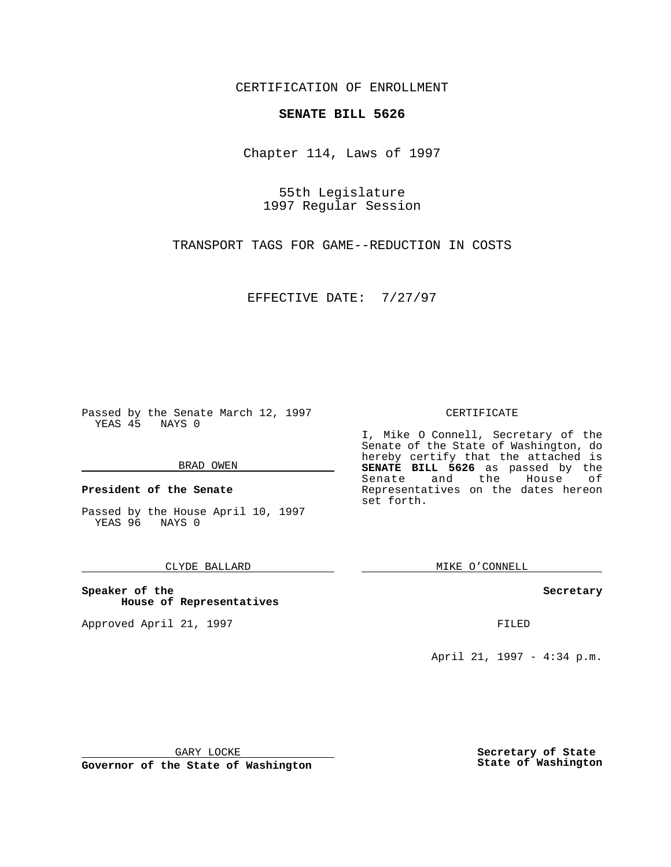CERTIFICATION OF ENROLLMENT

## **SENATE BILL 5626**

Chapter 114, Laws of 1997

55th Legislature 1997 Regular Session

TRANSPORT TAGS FOR GAME--REDUCTION IN COSTS

EFFECTIVE DATE: 7/27/97

Passed by the Senate March 12, 1997 YEAS 45 NAYS 0

#### BRAD OWEN

**President of the Senate**

Passed by the House April 10, 1997 YEAS 96 NAYS 0

#### CLYDE BALLARD

**Speaker of the House of Representatives**

Approved April 21, 1997 **FILED** 

#### CERTIFICATE

I, Mike O Connell, Secretary of the Senate of the State of Washington, do hereby certify that the attached is **SENATE BILL 5626** as passed by the Senate and the House of Representatives on the dates hereon set forth.

MIKE O'CONNELL

#### **Secretary**

April 21, 1997 - 4:34 p.m.

GARY LOCKE

**Governor of the State of Washington**

**Secretary of State State of Washington**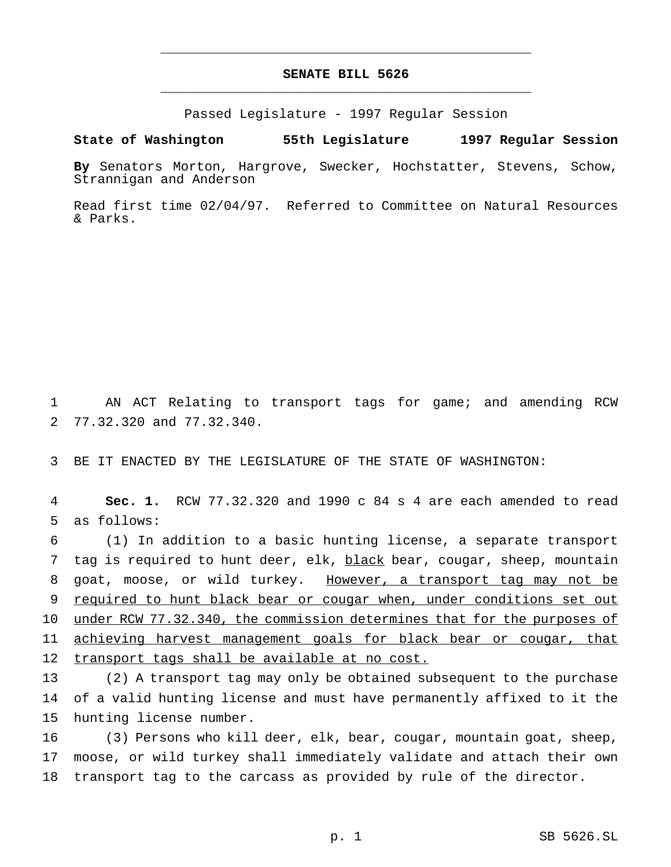# **SENATE BILL 5626** \_\_\_\_\_\_\_\_\_\_\_\_\_\_\_\_\_\_\_\_\_\_\_\_\_\_\_\_\_\_\_\_\_\_\_\_\_\_\_\_\_\_\_\_\_\_\_

\_\_\_\_\_\_\_\_\_\_\_\_\_\_\_\_\_\_\_\_\_\_\_\_\_\_\_\_\_\_\_\_\_\_\_\_\_\_\_\_\_\_\_\_\_\_\_

Passed Legislature - 1997 Regular Session

### **State of Washington 55th Legislature 1997 Regular Session**

**By** Senators Morton, Hargrove, Swecker, Hochstatter, Stevens, Schow, Strannigan and Anderson

Read first time 02/04/97. Referred to Committee on Natural Resources & Parks.

1 AN ACT Relating to transport tags for game; and amending RCW 2 77.32.320 and 77.32.340.

3 BE IT ENACTED BY THE LEGISLATURE OF THE STATE OF WASHINGTON:

4 **Sec. 1.** RCW 77.32.320 and 1990 c 84 s 4 are each amended to read 5 as follows:

 (1) In addition to a basic hunting license, a separate transport 7 tag is required to hunt deer, elk, black bear, cougar, sheep, mountain goat, moose, or wild turkey. However, a transport tag may not be required to hunt black bear or cougar when, under conditions set out 10 under RCW 77.32.340, the commission determines that for the purposes of achieving harvest management goals for black bear or cougar, that transport tags shall be available at no cost.

13 (2) A transport tag may only be obtained subsequent to the purchase 14 of a valid hunting license and must have permanently affixed to it the 15 hunting license number.

16 (3) Persons who kill deer, elk, bear, cougar, mountain goat, sheep, 17 moose, or wild turkey shall immediately validate and attach their own 18 transport tag to the carcass as provided by rule of the director.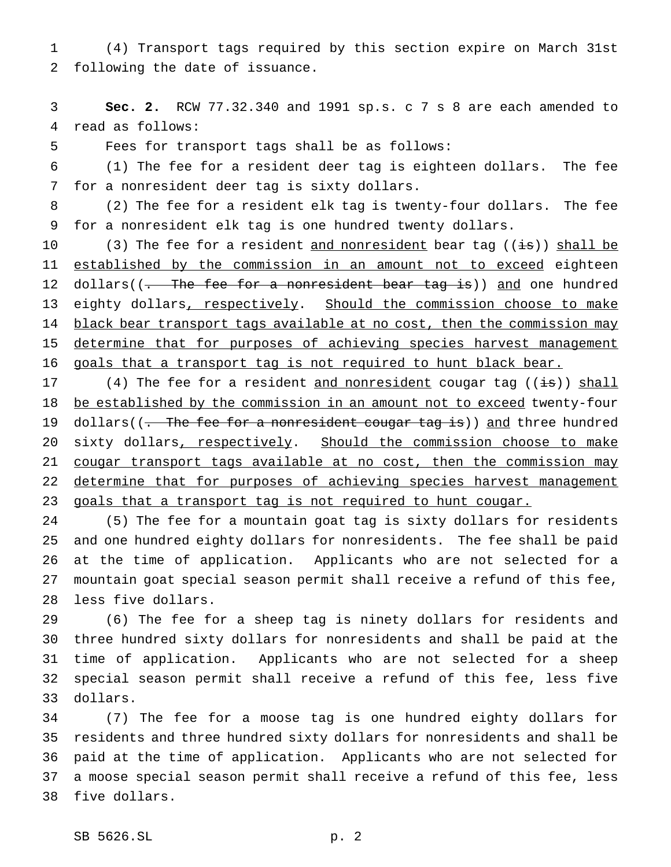(4) Transport tags required by this section expire on March 31st following the date of issuance.

 **Sec. 2.** RCW 77.32.340 and 1991 sp.s. c 7 s 8 are each amended to read as follows:

Fees for transport tags shall be as follows:

 (1) The fee for a resident deer tag is eighteen dollars. The fee for a nonresident deer tag is sixty dollars.

 (2) The fee for a resident elk tag is twenty-four dollars. The fee for a nonresident elk tag is one hundred twenty dollars.

10 (3) The fee for a resident <u>and nonresident</u> bear tag ((<del>is</del>)) shall be 11 established by the commission in an amount not to exceed eighteen 12 dollars((- The fee for a nonresident bear tag is)) and one hundred 13 eighty dollars, respectively. Should the commission choose to make 14 black bear transport tags available at no cost, then the commission may determine that for purposes of achieving species harvest management 16 goals that a transport tag is not required to hunt black bear.

17 (4) The fee for a resident and nonresident cougar tag  $((i\text{fs}))$  shall 18 be established by the commission in an amount not to exceed twenty-four 19 dollars((. The fee for a nonresident cougar tag is)) and three hundred 20 sixty dollars, respectively. Should the commission choose to make 21 cougar transport tags available at no cost, then the commission may 22 determine that for purposes of achieving species harvest management 23 goals that a transport tag is not required to hunt cougar.

 (5) The fee for a mountain goat tag is sixty dollars for residents and one hundred eighty dollars for nonresidents. The fee shall be paid at the time of application. Applicants who are not selected for a mountain goat special season permit shall receive a refund of this fee, less five dollars.

 (6) The fee for a sheep tag is ninety dollars for residents and three hundred sixty dollars for nonresidents and shall be paid at the time of application. Applicants who are not selected for a sheep special season permit shall receive a refund of this fee, less five dollars.

 (7) The fee for a moose tag is one hundred eighty dollars for residents and three hundred sixty dollars for nonresidents and shall be paid at the time of application. Applicants who are not selected for a moose special season permit shall receive a refund of this fee, less five dollars.